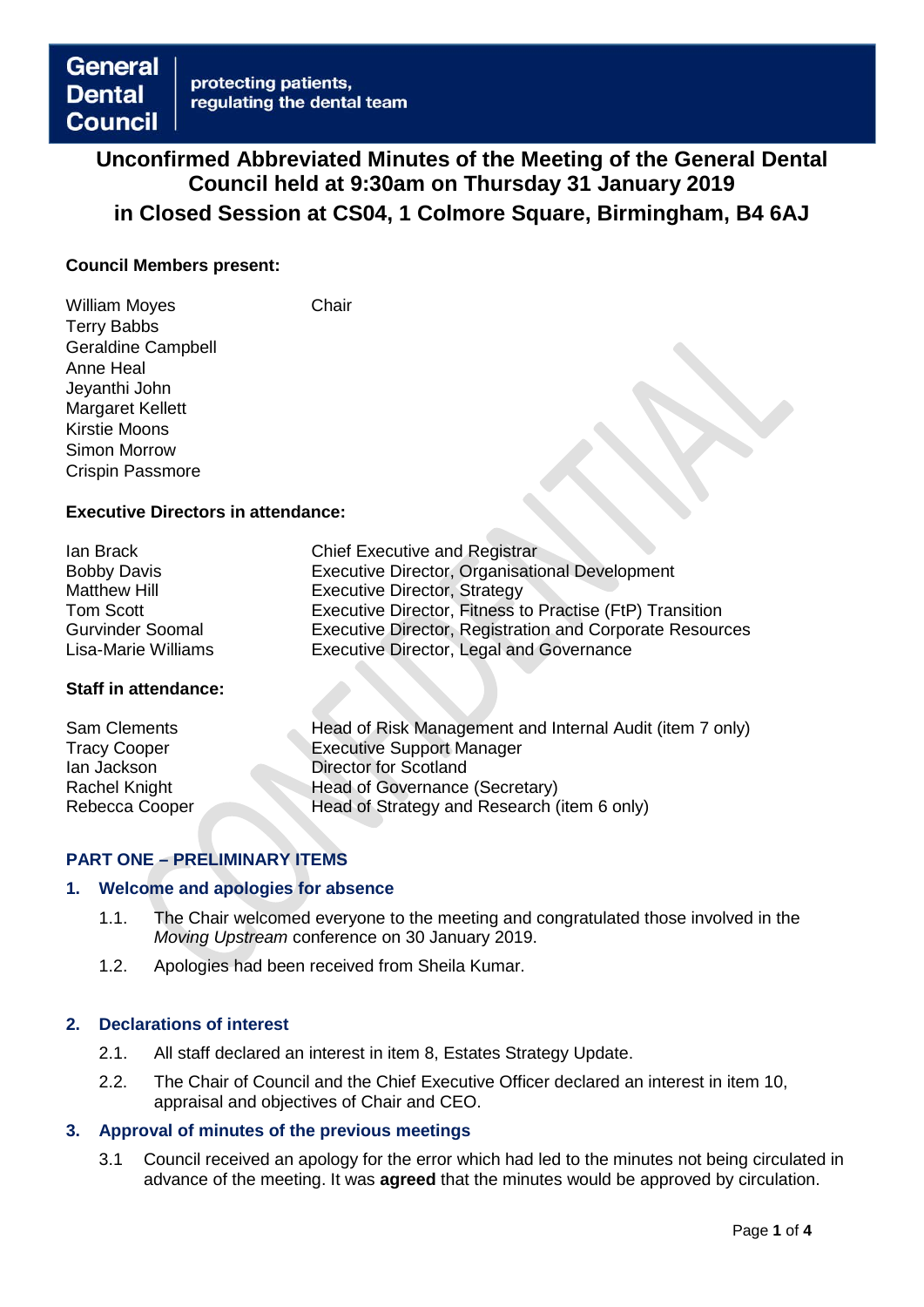# **Unconfirmed Abbreviated Minutes of the Meeting of the General Dental Council held at 9:30am on Thursday 31 January 2019 in Closed Session at CS04, 1 Colmore Square, Birmingham, B4 6AJ**

### **Council Members present:**

William Moves **Chair** Terry Babbs Geraldine Campbell Anne Heal Jeyanthi John Margaret Kellett Kirstie Moons Simon Morrow Crispin Passmore

### **Executive Directors in attendance:**

| lan Brack               | <b>Chief Executive and Registrar</b>                     |
|-------------------------|----------------------------------------------------------|
| <b>Bobby Davis</b>      | <b>Executive Director, Organisational Development</b>    |
| <b>Matthew Hill</b>     | <b>Executive Director, Strategy</b>                      |
| Tom Scott               | Executive Director, Fitness to Practise (FtP) Transition |
| <b>Gurvinder Soomal</b> | Executive Director, Registration and Corporate Resources |
| Lisa-Marie Williams     | <b>Executive Director, Legal and Governance</b>          |

### **Staff in attendance:**

| Head of Risk Management and Internal Audit (item 7 only) |
|----------------------------------------------------------|
|                                                          |
|                                                          |
|                                                          |
|                                                          |
|                                                          |

# **PART ONE – PRELIMINARY ITEMS**

### **1. Welcome and apologies for absence**

- 1.1. The Chair welcomed everyone to the meeting and congratulated those involved in the *Moving Upstream* conference on 30 January 2019.
- 1.2. Apologies had been received from Sheila Kumar.

### **2. Declarations of interest**

- 2.1. All staff declared an interest in item 8, Estates Strategy Update.
- 2.2. The Chair of Council and the Chief Executive Officer declared an interest in item 10, appraisal and objectives of Chair and CEO.

# **3. Approval of minutes of the previous meetings**

3.1 Council received an apology for the error which had led to the minutes not being circulated in advance of the meeting. It was **agreed** that the minutes would be approved by circulation.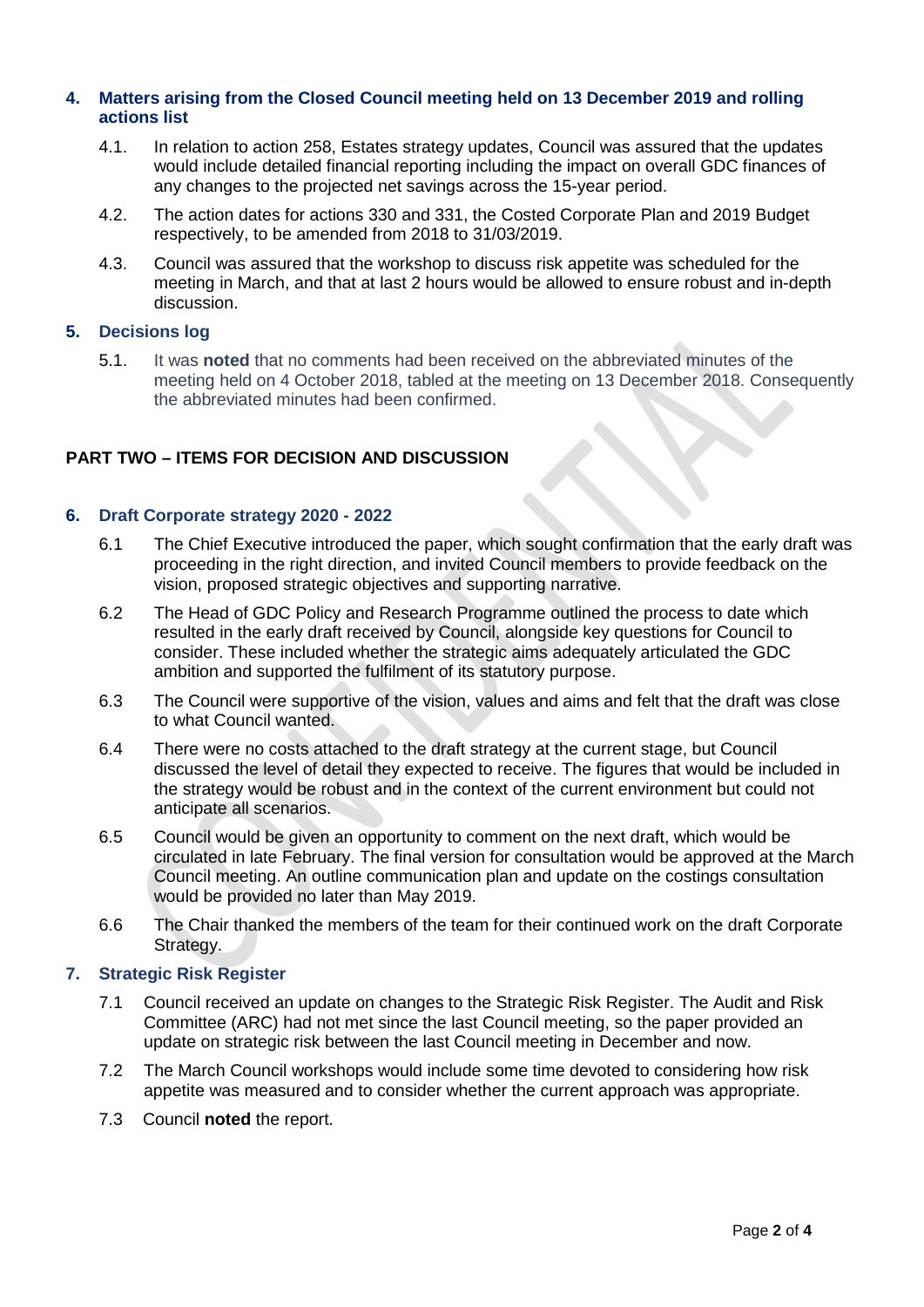## **4. Matters arising from the Closed Council meeting held on 13 December 2019 and rolling actions list**

- 4.1. In relation to action 258, Estates strategy updates, Council was assured that the updates would include detailed financial reporting including the impact on overall GDC finances of any changes to the projected net savings across the 15-year period.
- 4.2. The action dates for actions 330 and 331, the Costed Corporate Plan and 2019 Budget respectively, to be amended from 2018 to 31/03/2019.
- 4.3. Council was assured that the workshop to discuss risk appetite was scheduled for the meeting in March, and that at last 2 hours would be allowed to ensure robust and in-depth discussion.

# **5. Decisions log**

5.1. It was **noted** that no comments had been received on the abbreviated minutes of the meeting held on 4 October 2018, tabled at the meeting on 13 December 2018. Consequently the abbreviated minutes had been confirmed.

# **PART TWO – ITEMS FOR DECISION AND DISCUSSION**

### **6. Draft Corporate strategy 2020 - 2022**

- 6.1 The Chief Executive introduced the paper, which sought confirmation that the early draft was proceeding in the right direction, and invited Council members to provide feedback on the vision, proposed strategic objectives and supporting narrative.
- 6.2 The Head of GDC Policy and Research Programme outlined the process to date which resulted in the early draft received by Council, alongside key questions for Council to consider. These included whether the strategic aims adequately articulated the GDC ambition and supported the fulfilment of its statutory purpose.
- 6.3 The Council were supportive of the vision, values and aims and felt that the draft was close to what Council wanted.
- 6.4 There were no costs attached to the draft strategy at the current stage, but Council discussed the level of detail they expected to receive. The figures that would be included in the strategy would be robust and in the context of the current environment but could not anticipate all scenarios.
- 6.5 Council would be given an opportunity to comment on the next draft, which would be circulated in late February. The final version for consultation would be approved at the March Council meeting. An outline communication plan and update on the costings consultation would be provided no later than May 2019.
- 6.6 The Chair thanked the members of the team for their continued work on the draft Corporate Strategy.

### **7. Strategic Risk Register**

- 7.1 Council received an update on changes to the Strategic Risk Register. The Audit and Risk Committee (ARC) had not met since the last Council meeting, so the paper provided an update on strategic risk between the last Council meeting in December and now.
- 7.2 The March Council workshops would include some time devoted to considering how risk appetite was measured and to consider whether the current approach was appropriate.
- 7.3 Council **noted** the report.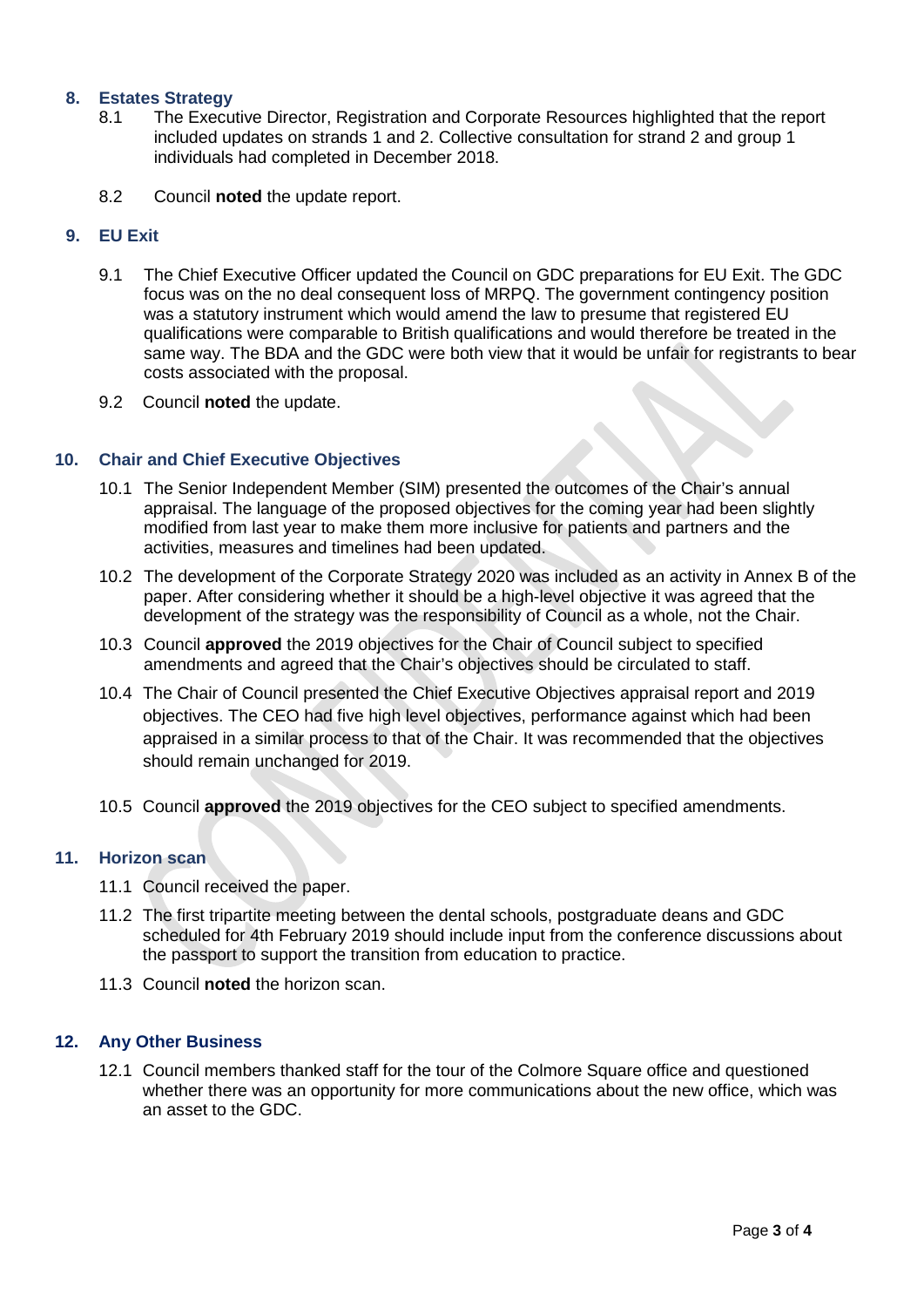# **8. Estates Strategy**

- 8.1 The Executive Director, Registration and Corporate Resources highlighted that the report included updates on strands 1 and 2. Collective consultation for strand 2 and group 1 individuals had completed in December 2018.
- 8.2 Council **noted** the update report.

# **9. EU Exit**

- 9.1 The Chief Executive Officer updated the Council on GDC preparations for EU Exit. The GDC focus was on the no deal consequent loss of MRPQ. The government contingency position was a statutory instrument which would amend the law to presume that registered EU qualifications were comparable to British qualifications and would therefore be treated in the same way. The BDA and the GDC were both view that it would be unfair for registrants to bear costs associated with the proposal.
- 9.2 Council **noted** the update.

### **10. Chair and Chief Executive Objectives**

- 10.1 The Senior Independent Member (SIM) presented the outcomes of the Chair's annual appraisal. The language of the proposed objectives for the coming year had been slightly modified from last year to make them more inclusive for patients and partners and the activities, measures and timelines had been updated.
- 10.2 The development of the Corporate Strategy 2020 was included as an activity in Annex B of the paper. After considering whether it should be a high-level objective it was agreed that the development of the strategy was the responsibility of Council as a whole, not the Chair.
- 10.3 Council **approved** the 2019 objectives for the Chair of Council subject to specified amendments and agreed that the Chair's objectives should be circulated to staff.
- 10.4 The Chair of Council presented the Chief Executive Objectives appraisal report and 2019 objectives. The CEO had five high level objectives, performance against which had been appraised in a similar process to that of the Chair. It was recommended that the objectives should remain unchanged for 2019.
- 10.5 Council **approved** the 2019 objectives for the CEO subject to specified amendments.

### **11. Horizon scan**

- 11.1 Council received the paper.
- 11.2 The first tripartite meeting between the dental schools, postgraduate deans and GDC scheduled for 4th February 2019 should include input from the conference discussions about the passport to support the transition from education to practice.
- 11.3 Council **noted** the horizon scan.

### **12. Any Other Business**

12.1 Council members thanked staff for the tour of the Colmore Square office and questioned whether there was an opportunity for more communications about the new office, which was an asset to the GDC.